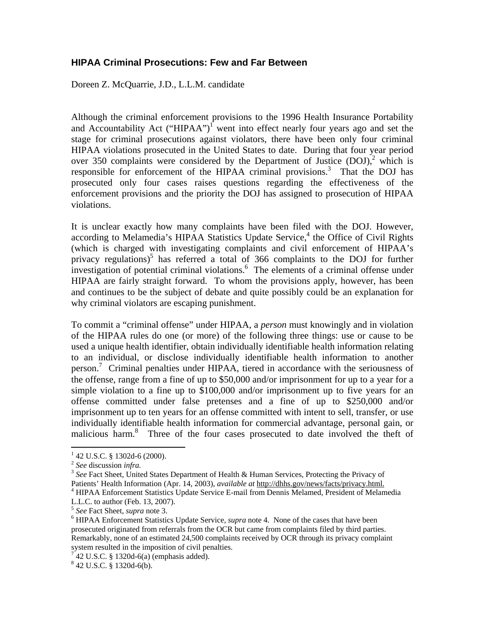## **HIPAA Criminal Prosecutions: Few and Far Between**

Doreen Z. McQuarrie, J.D., L.L.M. candidate

Although the criminal enforcement provisions to the 1996 Health Insurance Portability and Accountability Act ("HIPAA")<sup> $\Gamma$ </sup> went into effect nearly four years ago and set the stage for criminal prosecutions against violators, there have been only four criminal HIPAA violations prosecuted in the United States to date. During that four year period over 350 complaints were considered by the Department of Justice  $(DOI)^2$  $(DOI)^2$  which is responsible for enforcement of the HIPAA criminal provisions.<sup>3</sup> That the DOJ has prosecuted only four cases raises questions regarding the effectiveness of the enforcement provisions and the priority the DOJ has assigned to prosecution of HIPAA violations.

It is unclear exactly how many complaints have been filed with the DOJ. However, according to Melamedia's HIPAA Statistics Update Service,<sup>4</sup> the Office of Civil Rights (which is charged with investigating complaints and civil enforcement of HIPAA's privacy regulations)<sup>[5](#page-0-4)</sup> has referred a total of 366 complaints to the DOJ for further investigation of potential criminal violations.<sup>6</sup> The elements of a criminal offense under HIPAA are fairly straight forward. To whom the provisions apply, however, has been and continues to be the subject of debate and quite possibly could be an explanation for why criminal violators are escaping punishment.

To commit a "criminal offense" under HIPAA, a *person* must knowingly and in violation of the HIPAA rules do one (or more) of the following three things: use or cause to be used a unique health identifier, obtain individually identifiable health information relating to an individual, or disclose individually identifiable health information to another person.<sup>7</sup> Criminal penalties under HIPAA, tiered in accordance with the seriousness of the offense, range from a fine of up to \$50,000 and/or imprisonment for up to a year for a simple violation to a fine up to \$100,000 and/or imprisonment up to five years for an offense committed under false pretenses and a fine of up to \$250,000 and/or imprisonment up to ten years for an offense committed with intent to sell, transfer, or use individually identifiable health information for commercial advantage, personal gain, or malicious harm.[8](#page-0-7) Three of the four cases prosecuted to date involved the theft of

 $\overline{a}$ 

<span id="page-0-3"></span>L.L.C. to author (Feb. 13, 2007).

<span id="page-0-0"></span><sup>&</sup>lt;sup>1</sup> 42 U.S.C. § 1302d-6 (2000).

<span id="page-0-2"></span>

<span id="page-0-1"></span><sup>&</sup>lt;sup>2</sup> See discussion *infra*.<br><sup>3</sup> See Fact Sheet, United States Department of Health & Human Services, Protecting the Privacy of Patients' Health Information (Apr. 14, 2003), *available at* http://dhhs.gov/news/facts/privacy.html. <sup>4</sup> HIPAA Enforcement Statistics Update Service E-mail from Dennis Melamed, President of Melamedia

<span id="page-0-4"></span><sup>5</sup> *See* Fact Sheet, *supra* note 3. 6

<span id="page-0-5"></span><sup>&</sup>lt;sup>6</sup> HIPAA Enforcement Statistics Update Service, *supra* note 4. None of the cases that have been prosecuted originated from referrals from the OCR but came from complaints filed by third parties. Remarkably, none of an estimated 24,500 complaints received by OCR through its privacy complaint system resulted in the imposition of civil penalties.

<span id="page-0-6"></span> $7^{7}$ 42 U.S.C. § 1320d-6(a) (emphasis added).

<span id="page-0-7"></span> $842$  U.S.C. § 1320d-6(b).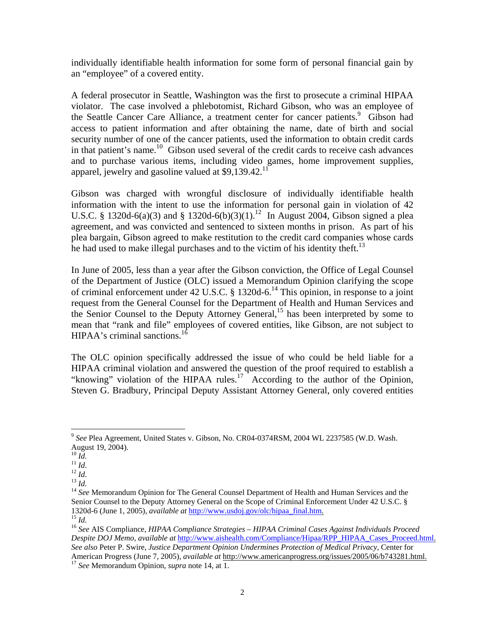individually identifiable health information for some form of personal financial gain by an "employee" of a covered entity.

A federal prosecutor in Seattle, Washington was the first to prosecute a criminal HIPAA violator. The case involved a phlebotomist, Richard Gibson, who was an employee of the Seattle Cancer Care Alliance, a treatment center for cancer patients.<sup>[9](#page-1-0)</sup> Gibson had access to patient information and after obtaining the name, date of birth and social security number of one of the cancer patients, used the information to obtain credit cards in that patient's name. [10](#page-1-1) Gibson used several of the credit cards to receive cash advances and to purchase various items, including video games, home improvement supplies, apparel, jewelry and gasoline valued at \$9,139.42.<sup>11</sup>

Gibson was charged with wrongful disclosure of individually identifiable health information with the intent to use the information for personal gain in violation of 42 U.S.C. § 1320d-6(a)(3) and § 1320d-6(b)(3)(1).<sup>12</sup> In August 2004, Gibson signed a plea agreement, and was convicted and sentenced to sixteen months in prison. As part of his plea bargain, Gibson agreed to make restitution to the credit card companies whose cards he had used to make illegal purchases and to the victim of his identity theft.<sup>[13](#page-1-4)</sup>

In June of 2005, less than a year after the Gibson conviction, the Office of Legal Counsel of the Department of Justice (OLC) issued a Memorandum Opinion clarifying the scope of criminal enforcement under 42 U.S.C. § 1320d-6.[14 T](#page-1-5)his opinion, in response to a joint request from the General Counsel for the Department of Health and Human Services and the Senior Counsel to the Deputy Attorney General,<sup>15</sup> has been interpreted by some to mean that "rank and file" employees of covered entities, like Gibson, are not subject to HIPAA's criminal sanctions.<sup>[16](#page-1-7)</sup>

The OLC opinion specifically addressed the issue of who could be held liable for a HIPAA criminal violation and answered the question of the proof required to establish a "knowing" violation of the HIPAA rules.<sup>17</sup> According to the author of the Opinion, Steven G. Bradbury, Principal Deputy Assistant Attorney General, only covered entities

1

<span id="page-1-0"></span><sup>&</sup>lt;sup>9</sup> *See* Plea Agreement, United States v. Gibson, No. CR04-0374RSM, 2004 WL 2237585 (W.D. Wash. August 19, 2004).<br>August 19, 2004).<br><sup>10</sup> *Id.*<br><sup>11</sup> *Id.* 

<span id="page-1-1"></span>

<span id="page-1-2"></span>

<span id="page-1-3"></span>

<span id="page-1-5"></span><span id="page-1-4"></span>

<sup>&</sup>lt;sup>12</sup> *Id.*<br><sup>13</sup> *Id.* <sup>14</sup> *See* Memorandum Opinion for The General Counsel Department of Health and Human Services and the Senior Counsel to the Deputy Attorney General on the Scope of Criminal Enforcement Under 42 U.S.C. § 1320d-6 (June 1, 2005), *available at* [http://www.usdoj.gov/olc/hipaa\\_final.htm](http://www.usdoj.gov/olc/hipaa_final.htm). 15 *Id.* <sup>16</sup> *See* AIS Compliance, *HIPAA Compliance Strategies – HIPAA Criminal Cases Against Individuals Proceed* 

<span id="page-1-6"></span>

<span id="page-1-8"></span><span id="page-1-7"></span>*Despite DOJ Memo*, *available at* [http://www.aishealth.com/Compliance/Hipaa/RPP\\_HIPAA\\_Cases\\_Proceed.html.](http://www.aishealth.com/Compliance/Hipaa/RPP_HIPAA_Cases_Proceed.html) *See also* Peter P. Swire, *Justice Department Opinion Undermines Protection of Medical Privacy,* Center for American Progress (June 7, 2005), *available at* http://www.americanprogress.org/issues/2005/06/b743281.html. <sup>17</sup> *See* Memorandum Opinion, *supra* note 14, at 1.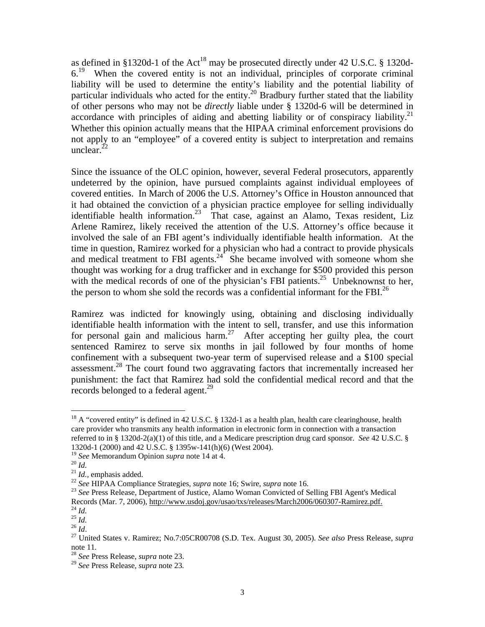as defined in §1320d-1 of the Act<sup>18</sup> may be prosecuted directly under 42 U.S.C. § 1320d- $6<sup>19</sup>$  When the covered entity is not an individual, principles of corporate criminal liability will be used to determine the entity's liability and the potential liability of particular individuals who acted for the entity.<sup>20</sup> Bradbury further stated that the liability of other persons who may not be *directly* liable under § 1320d-6 will be determined in accordance with principles of aiding and abetting liability or of conspiracy liability.<sup>21</sup> Whether this opinion actually means that the HIPAA criminal enforcement provisions do not apply to an "employee" of a covered entity is subject to interpretation and remains unclear. $^{22}$ 

Since the issuance of the OLC opinion, however, several Federal prosecutors, apparently undeterred by the opinion, have pursued complaints against individual employees of covered entities. In March of 2006 the U.S. Attorney's Office in Houston announced that it had obtained the conviction of a physician practice employee for selling individually identifiable health information.<sup>23</sup> That case, against an Alamo, Texas resident, Liz Arlene Ramirez, likely received the attention of the U.S. Attorney's office because it involved the sale of an FBI agent's individually identifiable health information. At the time in question, Ramirez worked for a physician who had a contract to provide physicals and medical treatment to FBI agents. $24$  She became involved with someone whom she thought was working for a drug trafficker and in exchange for \$500 provided this person with the medical records of one of the physician's FBI patients.<sup>25</sup> Unbeknownst to her, the person to whom she sold the records was a confidential informant for the FBI.<sup>26</sup>

Ramirez was indicted for knowingly using, obtaining and disclosing individually identifiable health information with the intent to sell, transfer, and use this information for personal gain and malicious harm.<sup>27</sup> After accepting her guilty plea, the court sentenced Ramirez to serve six months in jail followed by four months of home confinement with a subsequent two-year term of supervised release and a \$100 special assessment[.28](#page-2-10) The court found two aggravating factors that incrementally increased her punishment: the fact that Ramirez had sold the confidential medical record and that the records belonged to a federal agent.<sup>29</sup>

 $\overline{a}$ 

<span id="page-2-0"></span><sup>&</sup>lt;sup>18</sup> A "covered entity" is defined in 42 U.S.C. § 132d-1 as a health plan, health care clearinghouse, health care provider who transmits any health information in electronic form in connection with a transaction referred to in § 1320d-2(a)(1) of this title, and a Medicare prescription drug card sponsor. *See* 42 U.S.C. §

<span id="page-2-1"></span>

<span id="page-2-2"></span>

<span id="page-2-3"></span>

<span id="page-2-5"></span><span id="page-2-4"></span>

<sup>1320</sup>d-1 (2000) and 42 U.S.C. § 1395w-141(h)(6) (West 2004).<br><sup>19</sup> See Memorandum Opinion *supra* note 14 at 4.<br><sup>21</sup> *Id.*, emphasis added.<br><sup>22</sup> See HIPAA Compliance Strategies, *supra* note 16; Swire, *supra* note 16.<br><sup>23</sup>

<span id="page-2-7"></span><span id="page-2-6"></span>

<span id="page-2-9"></span><span id="page-2-8"></span>

 $\frac{^{24} \text{ Id.}}{^{25} \text{ Id.}}$ <br> $\frac{^{25} \text{ Id.}}{^{26} \text{ Id.}}$ <br> $\frac{^{26} \text{ Id.}}{^{27} \text{ United States v. Ramirez; No.7:05CRO0708 (S.D. Tex. August 30, 2005).}$  See also Press Release, supra note 11*.*<sup>28</sup> *See* Press Release, *supra* note 23. 29 *See* Press Release, *supra* note 23*.* 

<span id="page-2-10"></span>

<span id="page-2-11"></span>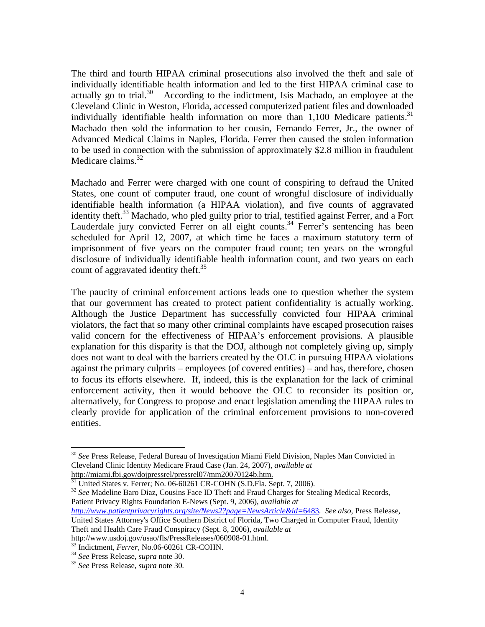The third and fourth HIPAA criminal prosecutions also involved the theft and sale of individually identifiable health information and led to the first HIPAA criminal case to actually go to trial.<sup>30</sup> According to the indictment, Isis Machado, an employee at the Cleveland Clinic in Weston, Florida, accessed computerized patient files and downloaded individually identifiable health information on more than  $1,100$  Medicare patients.<sup>31</sup> Machado then sold the information to her cousin, Fernando Ferrer, Jr., the owner of Advanced Medical Claims in Naples, Florida. Ferrer then caused the stolen information to be used in connection with the submission of approximately \$2.8 million in fraudulent Medicare claims.<sup>32</sup>

Machado and Ferrer were charged with one count of conspiring to defraud the United States, one count of computer fraud, one count of wrongful disclosure of individually identifiable health information (a HIPAA violation), and five counts of aggravated identity theft.<sup>33</sup> Machado, who pled guilty prior to trial, testified against Ferrer, and a Fort Lauderdale jury convicted Ferrer on all eight counts.<sup>34</sup> Ferrer's sentencing has been scheduled for April 12, 2007, at which time he faces a maximum statutory term of imprisonment of five years on the computer fraud count; ten years on the wrongful disclosure of individually identifiable health information count, and two years on each count of aggravated identity theft. $35$ 

The paucity of criminal enforcement actions leads one to question whether the system that our government has created to protect patient confidentiality is actually working. Although the Justice Department has successfully convicted four HIPAA criminal violators, the fact that so many other criminal complaints have escaped prosecution raises valid concern for the effectiveness of HIPAA's enforcement provisions. A plausible explanation for this disparity is that the DOJ, although not completely giving up, simply does not want to deal with the barriers created by the OLC in pursuing HIPAA violations against the primary culprits – employees (of covered entities) – and has, therefore, chosen to focus its efforts elsewhere. If, indeed, this is the explanation for the lack of criminal enforcement activity, then it would behoove the OLC to reconsider its position or, alternatively, for Congress to propose and enact legislation amending the HIPAA rules to clearly provide for application of the criminal enforcement provisions to non-covered entities.

<span id="page-3-2"></span><span id="page-3-1"></span> $^{31}$  United States v. Ferrer; No. 06-60261 CR-COHN (S.D.Fla. Sept. 7, 2006).<br> $^{32}$  See Madeline Baro Diaz, Cousins Face ID Theft and Fraud Charges for Stealing Medical Records, Patient Privacy Rights Foundation E-News (Sept. 9, 2006), *available at*

*[http://www.patientprivacyrights.org/site/News2?page=NewsArticle&id=](http://www.patientprivacyrights.org/site/News2?page=NewsArticle&id=6483)*6483. *See also,* Press Release, United States Attorney's Office Southern District of Florida, Two Charged in Computer Fraud, Identity Theft and Health Care Fraud Conspiracy (Sept. 8, 2006), *available at*

http://www.usdoj.gov/usao/fls/PressReleases/060908-01.html.<br><sup>33</sup> Indictment, *Ferrer*, No.06-60261 CR-COHN.<br><sup>34</sup> *See* Press Release, *supra* note 30.<br><sup>35</sup> *See* Press Release, *supra* note 30.

1

<span id="page-3-0"></span><sup>30</sup> *See* Press Release, Federal Bureau of Investigation Miami Field Division, Naples Man Convicted in Cleveland Clinic Identity Medicare Fraud Case (Jan. 24, 2007), *available at*

<span id="page-3-4"></span><span id="page-3-3"></span>

<span id="page-3-5"></span>